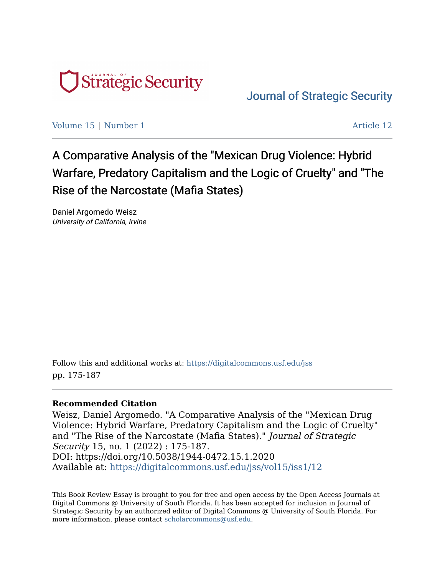

[Journal of Strategic Security](https://digitalcommons.usf.edu/jss) 

[Volume 15](https://digitalcommons.usf.edu/jss/vol15) | [Number 1](https://digitalcommons.usf.edu/jss/vol15/iss1) Article 12

A Comparative Analysis of the "Mexican Drug Violence: Hybrid Warfare, Predatory Capitalism and the Logic of Cruelty" and "The Rise of the Narcostate (Mafia States)

Daniel Argomedo Weisz University of California, Irvine

Follow this and additional works at: [https://digitalcommons.usf.edu/jss](https://digitalcommons.usf.edu/jss?utm_source=digitalcommons.usf.edu%2Fjss%2Fvol15%2Fiss1%2F12&utm_medium=PDF&utm_campaign=PDFCoverPages) pp. 175-187

## **Recommended Citation**

Weisz, Daniel Argomedo. "A Comparative Analysis of the "Mexican Drug Violence: Hybrid Warfare, Predatory Capitalism and the Logic of Cruelty" and "The Rise of the Narcostate (Mafia States)." Journal of Strategic Security 15, no. 1 (2022) : 175-187. DOI: https://doi.org/10.5038/1944-0472.15.1.2020 Available at: [https://digitalcommons.usf.edu/jss/vol15/iss1/12](https://digitalcommons.usf.edu/jss/vol15/iss1/12?utm_source=digitalcommons.usf.edu%2Fjss%2Fvol15%2Fiss1%2F12&utm_medium=PDF&utm_campaign=PDFCoverPages) 

This Book Review Essay is brought to you for free and open access by the Open Access Journals at Digital Commons @ University of South Florida. It has been accepted for inclusion in Journal of Strategic Security by an authorized editor of Digital Commons @ University of South Florida. For more information, please contact [scholarcommons@usf.edu](mailto:scholarcommons@usf.edu).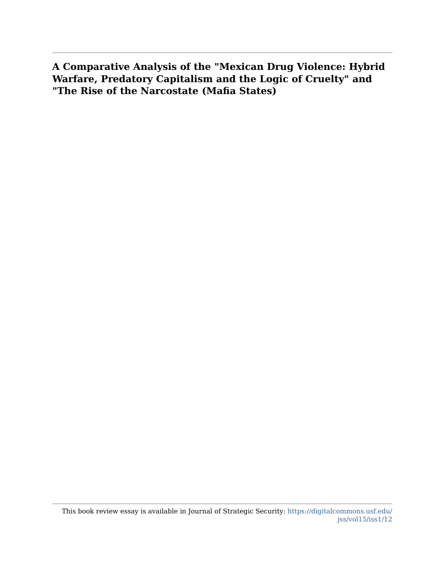**A Comparative Analysis of the "Mexican Drug Violence: Hybrid Warfare, Predatory Capitalism and the Logic of Cruelty" and "The Rise of the Narcostate (Mafia States)**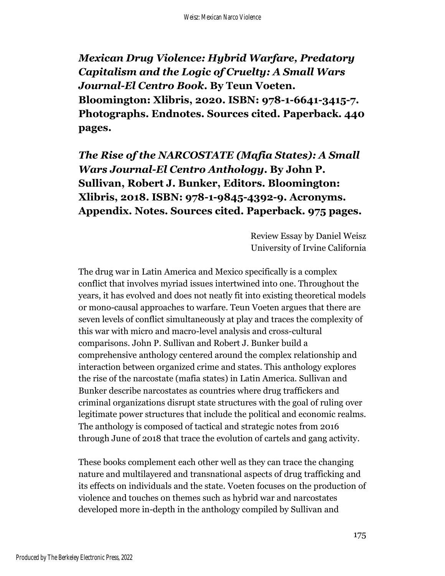*Mexican Drug Violence: Hybrid Warfare, Predatory Capitalism and the Logic of Cruelty: A Small Wars Journal-El Centro Book***. By Teun Voeten. Bloomington: Xlibris, 2020. ISBN: 978-1-6641-3415-7. Photographs. Endnotes. Sources cited. Paperback. 440 pages.**

*The Rise of the NARCOSTATE (Mafia States): A Small Wars Journal-El Centro Anthology***. By John P. Sullivan, Robert J. Bunker, Editors. Bloomington: Xlibris, 2018. ISBN: 978-1-9845-4392-9. Acronyms. Appendix. Notes. Sources cited. Paperback. 975 pages.** 

> Review Essay by Daniel Weisz University of Irvine California

The drug war in Latin America and Mexico specifically is a complex conflict that involves myriad issues intertwined into one. Throughout the years, it has evolved and does not neatly fit into existing theoretical models or mono-causal approaches to warfare. Teun Voeten argues that there are seven levels of conflict simultaneously at play and traces the complexity of this war with micro and macro-level analysis and cross-cultural comparisons. John P. Sullivan and Robert J. Bunker build a comprehensive anthology centered around the complex relationship and interaction between organized crime and states. This anthology explores the rise of the narcostate (mafia states) in Latin America. Sullivan and Bunker describe narcostates as countries where drug traffickers and criminal organizations disrupt state structures with the goal of ruling over legitimate power structures that include the political and economic realms. The anthology is composed of tactical and strategic notes from 2016 through June of 2018 that trace the evolution of cartels and gang activity.

These books complement each other well as they can trace the changing nature and multilayered and transnational aspects of drug trafficking and its effects on individuals and the state. Voeten focuses on the production of violence and touches on themes such as hybrid war and narcostates developed more in-depth in the anthology compiled by Sullivan and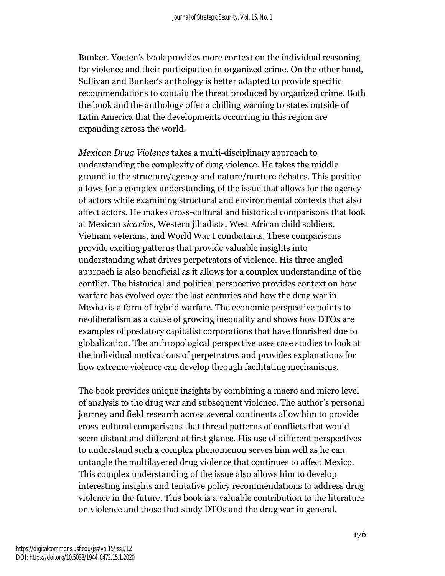Bunker. Voeten's book provides more context on the individual reasoning for violence and their participation in organized crime. On the other hand, Sullivan and Bunker's anthology is better adapted to provide specific recommendations to contain the threat produced by organized crime. Both the book and the anthology offer a chilling warning to states outside of Latin America that the developments occurring in this region are expanding across the world.

*Mexican Drug Violence* takes a multi-disciplinary approach to understanding the complexity of drug violence. He takes the middle ground in the structure/agency and nature/nurture debates. This position allows for a complex understanding of the issue that allows for the agency of actors while examining structural and environmental contexts that also affect actors. He makes cross-cultural and historical comparisons that look at Mexican *sicarios*, Western jihadists, West African child soldiers, Vietnam veterans, and World War I combatants. These comparisons provide exciting patterns that provide valuable insights into understanding what drives perpetrators of violence. His three angled approach is also beneficial as it allows for a complex understanding of the conflict. The historical and political perspective provides context on how warfare has evolved over the last centuries and how the drug war in Mexico is a form of hybrid warfare. The economic perspective points to neoliberalism as a cause of growing inequality and shows how DTOs are examples of predatory capitalist corporations that have flourished due to globalization. The anthropological perspective uses case studies to look at the individual motivations of perpetrators and provides explanations for how extreme violence can develop through facilitating mechanisms.

The book provides unique insights by combining a macro and micro level of analysis to the drug war and subsequent violence. The author's personal journey and field research across several continents allow him to provide cross-cultural comparisons that thread patterns of conflicts that would seem distant and different at first glance. His use of different perspectives to understand such a complex phenomenon serves him well as he can untangle the multilayered drug violence that continues to affect Mexico. This complex understanding of the issue also allows him to develop interesting insights and tentative policy recommendations to address drug violence in the future. This book is a valuable contribution to the literature on violence and those that study DTOs and the drug war in general.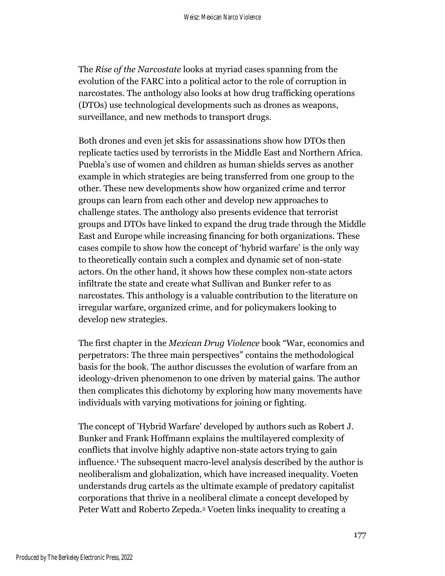The *Rise of the Narcostate* looks at myriad cases spanning from the evolution of the FARC into a political actor to the role of corruption in narcostates. The anthology also looks at how drug trafficking operations (DTOs) use technological developments such as drones as weapons, surveillance, and new methods to transport drugs.

Both drones and even jet skis for assassinations show how DTOs then replicate tactics used by terrorists in the Middle East and Northern Africa. Puebla's use of women and children as human shields serves as another example in which strategies are being transferred from one group to the other. These new developments show how organized crime and terror groups can learn from each other and develop new approaches to challenge states. The anthology also presents evidence that terrorist groups and DTOs have linked to expand the drug trade through the Middle East and Europe while increasing financing for both organizations. These cases compile to show how the concept of 'hybrid warfare' is the only way to theoretically contain such a complex and dynamic set of non-state actors. On the other hand, it shows how these complex non-state actors infiltrate the state and create what Sullivan and Bunker refer to as narcostates. This anthology is a valuable contribution to the literature on irregular warfare, organized crime, and for policymakers looking to develop new strategies.

The first chapter in the *Mexican Drug Violence* book "War, economics and perpetrators: The three main perspectives" contains the methodological basis for the book. The author discusses the evolution of warfare from an ideology-driven phenomenon to one driven by material gains. The author then complicates this dichotomy by exploring how many movements have individuals with varying motivations for joining or fighting.

The concept of 'Hybrid Warfare' developed by authors such as Robert J. Bunker and Frank Hoffmann explains the multilayered complexity of conflicts that involve highly adaptive non-state actors trying to gain influence.<sup>1</sup> The subsequent macro-level analysis described by the author is neoliberalism and globalization, which have increased inequality. Voeten understands drug cartels as the ultimate example of predatory capitalist corporations that thrive in a neoliberal climate a concept developed by Peter Watt and Roberto Zepeda.<sup>2</sup> Voeten links inequality to creating a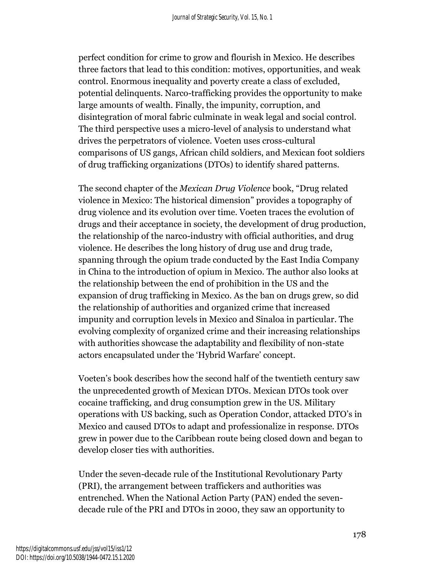perfect condition for crime to grow and flourish in Mexico. He describes three factors that lead to this condition: motives, opportunities, and weak control. Enormous inequality and poverty create a class of excluded, potential delinquents. Narco-trafficking provides the opportunity to make large amounts of wealth. Finally, the impunity, corruption, and disintegration of moral fabric culminate in weak legal and social control. The third perspective uses a micro-level of analysis to understand what drives the perpetrators of violence. Voeten uses cross-cultural comparisons of US gangs, African child soldiers, and Mexican foot soldiers of drug trafficking organizations (DTOs) to identify shared patterns.

The second chapter of the *Mexican Drug Violence* book, "Drug related violence in Mexico: The historical dimension" provides a topography of drug violence and its evolution over time. Voeten traces the evolution of drugs and their acceptance in society, the development of drug production, the relationship of the narco-industry with official authorities, and drug violence. He describes the long history of drug use and drug trade, spanning through the opium trade conducted by the East India Company in China to the introduction of opium in Mexico. The author also looks at the relationship between the end of prohibition in the US and the expansion of drug trafficking in Mexico. As the ban on drugs grew, so did the relationship of authorities and organized crime that increased impunity and corruption levels in Mexico and Sinaloa in particular. The evolving complexity of organized crime and their increasing relationships with authorities showcase the adaptability and flexibility of non-state actors encapsulated under the 'Hybrid Warfare' concept.

Voeten's book describes how the second half of the twentieth century saw the unprecedented growth of Mexican DTOs. Mexican DTOs took over cocaine trafficking, and drug consumption grew in the US. Military operations with US backing, such as Operation Condor, attacked DTO's in Mexico and caused DTOs to adapt and professionalize in response. DTOs grew in power due to the Caribbean route being closed down and began to develop closer ties with authorities.

Under the seven-decade rule of the Institutional Revolutionary Party (PRI), the arrangement between traffickers and authorities was entrenched. When the National Action Party (PAN) ended the sevendecade rule of the PRI and DTOs in 2000, they saw an opportunity to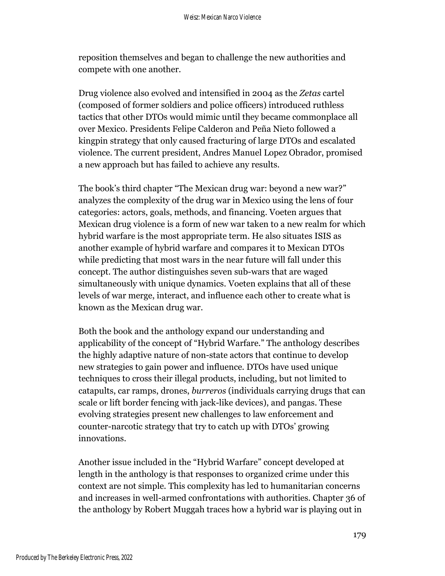reposition themselves and began to challenge the new authorities and compete with one another.

Drug violence also evolved and intensified in 2004 as the *Zetas* cartel (composed of former soldiers and police officers) introduced ruthless tactics that other DTOs would mimic until they became commonplace all over Mexico. Presidents Felipe Calderon and Peña Nieto followed a kingpin strategy that only caused fracturing of large DTOs and escalated violence. The current president, Andres Manuel Lopez Obrador, promised a new approach but has failed to achieve any results.

The book's third chapter "The Mexican drug war: beyond a new war?" analyzes the complexity of the drug war in Mexico using the lens of four categories: actors, goals, methods, and financing. Voeten argues that Mexican drug violence is a form of new war taken to a new realm for which hybrid warfare is the most appropriate term. He also situates ISIS as another example of hybrid warfare and compares it to Mexican DTOs while predicting that most wars in the near future will fall under this concept. The author distinguishes seven sub-wars that are waged simultaneously with unique dynamics. Voeten explains that all of these levels of war merge, interact, and influence each other to create what is known as the Mexican drug war.

Both the book and the anthology expand our understanding and applicability of the concept of "Hybrid Warfare." The anthology describes the highly adaptive nature of non-state actors that continue to develop new strategies to gain power and influence. DTOs have used unique techniques to cross their illegal products, including, but not limited to catapults, car ramps, drones, *burreros* (individuals carrying drugs that can scale or lift border fencing with jack-like devices), and pangas. These evolving strategies present new challenges to law enforcement and counter-narcotic strategy that try to catch up with DTOs' growing innovations.

Another issue included in the "Hybrid Warfare" concept developed at length in the anthology is that responses to organized crime under this context are not simple. This complexity has led to humanitarian concerns and increases in well-armed confrontations with authorities. Chapter 36 of the anthology by Robert Muggah traces how a hybrid war is playing out in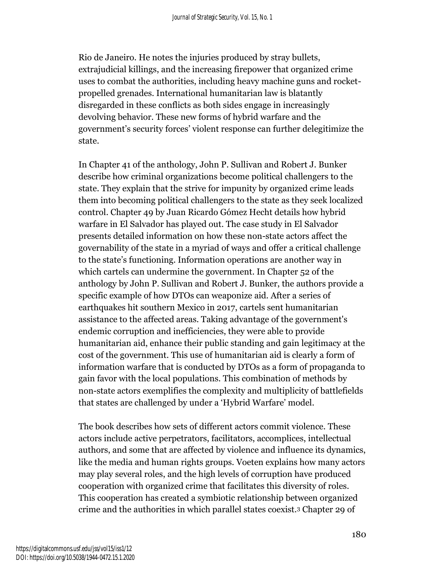Rio de Janeiro. He notes the injuries produced by stray bullets, extrajudicial killings, and the increasing firepower that organized crime uses to combat the authorities, including heavy machine guns and rocketpropelled grenades. International humanitarian law is blatantly disregarded in these conflicts as both sides engage in increasingly devolving behavior. These new forms of hybrid warfare and the government's security forces' violent response can further delegitimize the state.

In Chapter 41 of the anthology, John P. Sullivan and Robert J. Bunker describe how criminal organizations become political challengers to the state. They explain that the strive for impunity by organized crime leads them into becoming political challengers to the state as they seek localized control. Chapter 49 by Juan Ricardo Gómez Hecht details how hybrid warfare in El Salvador has played out. The case study in El Salvador presents detailed information on how these non-state actors affect the governability of the state in a myriad of ways and offer a critical challenge to the state's functioning. Information operations are another way in which cartels can undermine the government. In Chapter 52 of the anthology by John P. Sullivan and Robert J. Bunker, the authors provide a specific example of how DTOs can weaponize aid. After a series of earthquakes hit southern Mexico in 2017, cartels sent humanitarian assistance to the affected areas. Taking advantage of the government's endemic corruption and inefficiencies, they were able to provide humanitarian aid, enhance their public standing and gain legitimacy at the cost of the government. This use of humanitarian aid is clearly a form of information warfare that is conducted by DTOs as a form of propaganda to gain favor with the local populations. This combination of methods by non-state actors exemplifies the complexity and multiplicity of battlefields that states are challenged by under a 'Hybrid Warfare' model.

The book describes how sets of different actors commit violence. These actors include active perpetrators, facilitators, accomplices, intellectual authors, and some that are affected by violence and influence its dynamics, like the media and human rights groups. Voeten explains how many actors may play several roles, and the high levels of corruption have produced cooperation with organized crime that facilitates this diversity of roles. This cooperation has created a symbiotic relationship between organized crime and the authorities in which parallel states coexist.<sup>3</sup> Chapter 29 of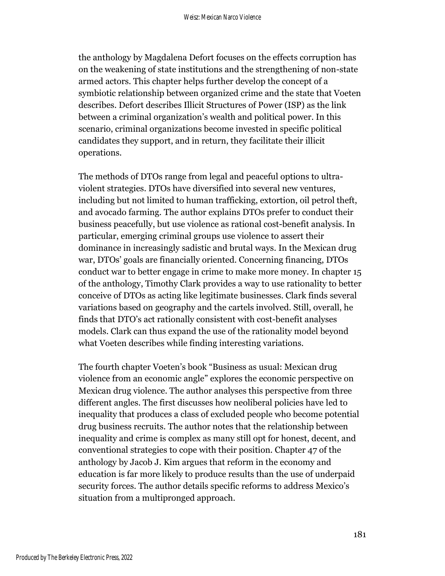the anthology by Magdalena Defort focuses on the effects corruption has on the weakening of state institutions and the strengthening of non-state armed actors. This chapter helps further develop the concept of a symbiotic relationship between organized crime and the state that Voeten describes. Defort describes Illicit Structures of Power (ISP) as the link between a criminal organization's wealth and political power. In this scenario, criminal organizations become invested in specific political candidates they support, and in return, they facilitate their illicit operations.

The methods of DTOs range from legal and peaceful options to ultraviolent strategies. DTOs have diversified into several new ventures, including but not limited to human trafficking, extortion, oil petrol theft, and avocado farming. The author explains DTOs prefer to conduct their business peacefully, but use violence as rational cost-benefit analysis. In particular, emerging criminal groups use violence to assert their dominance in increasingly sadistic and brutal ways. In the Mexican drug war, DTOs' goals are financially oriented. Concerning financing, DTOs conduct war to better engage in crime to make more money. In chapter 15 of the anthology, Timothy Clark provides a way to use rationality to better conceive of DTOs as acting like legitimate businesses. Clark finds several variations based on geography and the cartels involved. Still, overall, he finds that DTO's act rationally consistent with cost-benefit analyses models. Clark can thus expand the use of the rationality model beyond what Voeten describes while finding interesting variations.

The fourth chapter Voeten's book "Business as usual: Mexican drug violence from an economic angle" explores the economic perspective on Mexican drug violence. The author analyses this perspective from three different angles. The first discusses how neoliberal policies have led to inequality that produces a class of excluded people who become potential drug business recruits. The author notes that the relationship between inequality and crime is complex as many still opt for honest, decent, and conventional strategies to cope with their position. Chapter 47 of the anthology by Jacob J. Kim argues that reform in the economy and education is far more likely to produce results than the use of underpaid security forces. The author details specific reforms to address Mexico's situation from a multipronged approach.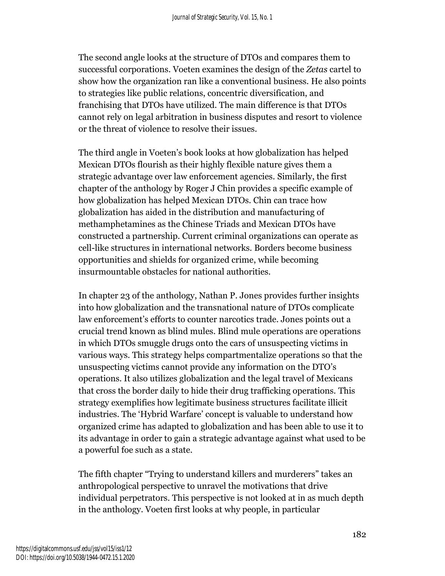The second angle looks at the structure of DTOs and compares them to successful corporations. Voeten examines the design of the *Zetas* cartel to show how the organization ran like a conventional business. He also points to strategies like public relations, concentric diversification, and franchising that DTOs have utilized. The main difference is that DTOs cannot rely on legal arbitration in business disputes and resort to violence or the threat of violence to resolve their issues.

The third angle in Voeten's book looks at how globalization has helped Mexican DTOs flourish as their highly flexible nature gives them a strategic advantage over law enforcement agencies. Similarly, the first chapter of the anthology by Roger J Chin provides a specific example of how globalization has helped Mexican DTOs. Chin can trace how globalization has aided in the distribution and manufacturing of methamphetamines as the Chinese Triads and Mexican DTOs have constructed a partnership. Current criminal organizations can operate as cell-like structures in international networks. Borders become business opportunities and shields for organized crime, while becoming insurmountable obstacles for national authorities.

In chapter 23 of the anthology, Nathan P. Jones provides further insights into how globalization and the transnational nature of DTOs complicate law enforcement's efforts to counter narcotics trade. Jones points out a crucial trend known as blind mules. Blind mule operations are operations in which DTOs smuggle drugs onto the cars of unsuspecting victims in various ways. This strategy helps compartmentalize operations so that the unsuspecting victims cannot provide any information on the DTO's operations. It also utilizes globalization and the legal travel of Mexicans that cross the border daily to hide their drug trafficking operations. This strategy exemplifies how legitimate business structures facilitate illicit industries. The 'Hybrid Warfare' concept is valuable to understand how organized crime has adapted to globalization and has been able to use it to its advantage in order to gain a strategic advantage against what used to be a powerful foe such as a state.

The fifth chapter "Trying to understand killers and murderers" takes an anthropological perspective to unravel the motivations that drive individual perpetrators. This perspective is not looked at in as much depth in the anthology. Voeten first looks at why people, in particular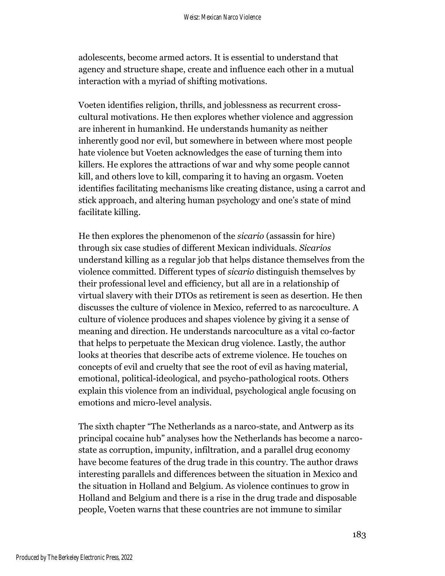adolescents, become armed actors. It is essential to understand that agency and structure shape, create and influence each other in a mutual interaction with a myriad of shifting motivations.

Voeten identifies religion, thrills, and joblessness as recurrent crosscultural motivations. He then explores whether violence and aggression are inherent in humankind. He understands humanity as neither inherently good nor evil, but somewhere in between where most people hate violence but Voeten acknowledges the ease of turning them into killers. He explores the attractions of war and why some people cannot kill, and others love to kill, comparing it to having an orgasm. Voeten identifies facilitating mechanisms like creating distance, using a carrot and stick approach, and altering human psychology and one's state of mind facilitate killing.

He then explores the phenomenon of the *sicario* (assassin for hire) through six case studies of different Mexican individuals. *Sicarios* understand killing as a regular job that helps distance themselves from the violence committed. Different types of *sicario* distinguish themselves by their professional level and efficiency, but all are in a relationship of virtual slavery with their DTOs as retirement is seen as desertion. He then discusses the culture of violence in Mexico, referred to as narcoculture. A culture of violence produces and shapes violence by giving it a sense of meaning and direction. He understands narcoculture as a vital co-factor that helps to perpetuate the Mexican drug violence. Lastly, the author looks at theories that describe acts of extreme violence. He touches on concepts of evil and cruelty that see the root of evil as having material, emotional, political-ideological, and psycho-pathological roots. Others explain this violence from an individual, psychological angle focusing on emotions and micro-level analysis.

The sixth chapter "The Netherlands as a narco-state, and Antwerp as its principal cocaine hub" analyses how the Netherlands has become a narcostate as corruption, impunity, infiltration, and a parallel drug economy have become features of the drug trade in this country. The author draws interesting parallels and differences between the situation in Mexico and the situation in Holland and Belgium. As violence continues to grow in Holland and Belgium and there is a rise in the drug trade and disposable people, Voeten warns that these countries are not immune to similar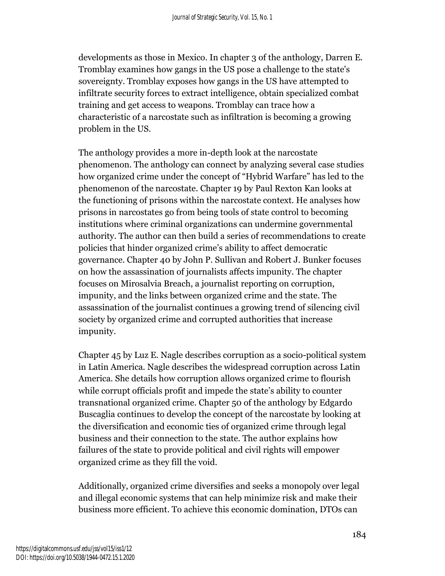developments as those in Mexico. In chapter 3 of the anthology, Darren E. Tromblay examines how gangs in the US pose a challenge to the state's sovereignty. Tromblay exposes how gangs in the US have attempted to infiltrate security forces to extract intelligence, obtain specialized combat training and get access to weapons. Tromblay can trace how a characteristic of a narcostate such as infiltration is becoming a growing problem in the US.

The anthology provides a more in-depth look at the narcostate phenomenon. The anthology can connect by analyzing several case studies how organized crime under the concept of "Hybrid Warfare" has led to the phenomenon of the narcostate. Chapter 19 by Paul Rexton Kan looks at the functioning of prisons within the narcostate context. He analyses how prisons in narcostates go from being tools of state control to becoming institutions where criminal organizations can undermine governmental authority. The author can then build a series of recommendations to create policies that hinder organized crime's ability to affect democratic governance. Chapter 40 by John P. Sullivan and Robert J. Bunker focuses on how the assassination of journalists affects impunity. The chapter focuses on Mirosalvia Breach, a journalist reporting on corruption, impunity, and the links between organized crime and the state. The assassination of the journalist continues a growing trend of silencing civil society by organized crime and corrupted authorities that increase impunity.

Chapter 45 by Luz E. Nagle describes corruption as a socio-political system in Latin America. Nagle describes the widespread corruption across Latin America. She details how corruption allows organized crime to flourish while corrupt officials profit and impede the state's ability to counter transnational organized crime. Chapter 50 of the anthology by Edgardo Buscaglia continues to develop the concept of the narcostate by looking at the diversification and economic ties of organized crime through legal business and their connection to the state. The author explains how failures of the state to provide political and civil rights will empower organized crime as they fill the void.

Additionally, organized crime diversifies and seeks a monopoly over legal and illegal economic systems that can help minimize risk and make their business more efficient. To achieve this economic domination, DTOs can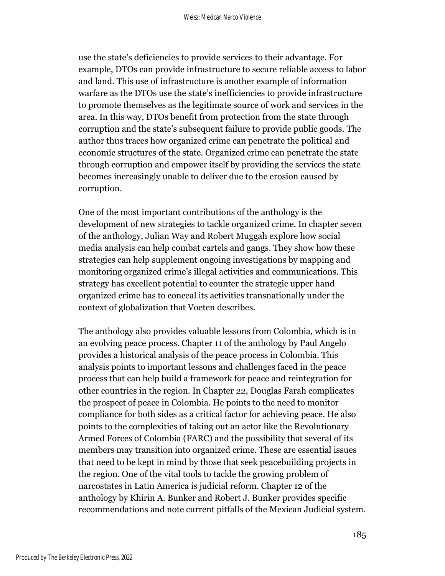use the state's deficiencies to provide services to their advantage. For example, DTOs can provide infrastructure to secure reliable access to labor and land. This use of infrastructure is another example of information warfare as the DTOs use the state's inefficiencies to provide infrastructure to promote themselves as the legitimate source of work and services in the area. In this way, DTOs benefit from protection from the state through corruption and the state's subsequent failure to provide public goods. The author thus traces how organized crime can penetrate the political and economic structures of the state. Organized crime can penetrate the state through corruption and empower itself by providing the services the state becomes increasingly unable to deliver due to the erosion caused by corruption.

One of the most important contributions of the anthology is the development of new strategies to tackle organized crime. In chapter seven of the anthology, Julian Way and Robert Muggah explore how social media analysis can help combat cartels and gangs. They show how these strategies can help supplement ongoing investigations by mapping and monitoring organized crime's illegal activities and communications. This strategy has excellent potential to counter the strategic upper hand organized crime has to conceal its activities transnationally under the context of globalization that Voeten describes.

The anthology also provides valuable lessons from Colombia, which is in an evolving peace process. Chapter 11 of the anthology by Paul Angelo provides a historical analysis of the peace process in Colombia. This analysis points to important lessons and challenges faced in the peace process that can help build a framework for peace and reintegration for other countries in the region. In Chapter 22, Douglas Farah complicates the prospect of peace in Colombia. He points to the need to monitor compliance for both sides as a critical factor for achieving peace. He also points to the complexities of taking out an actor like the Revolutionary Armed Forces of Colombia (FARC) and the possibility that several of its members may transition into organized crime. These are essential issues that need to be kept in mind by those that seek peacebuilding projects in the region. One of the vital tools to tackle the growing problem of narcostates in Latin America is judicial reform. Chapter 12 of the anthology by Khirin A. Bunker and Robert J. Bunker provides specific recommendations and note current pitfalls of the Mexican Judicial system.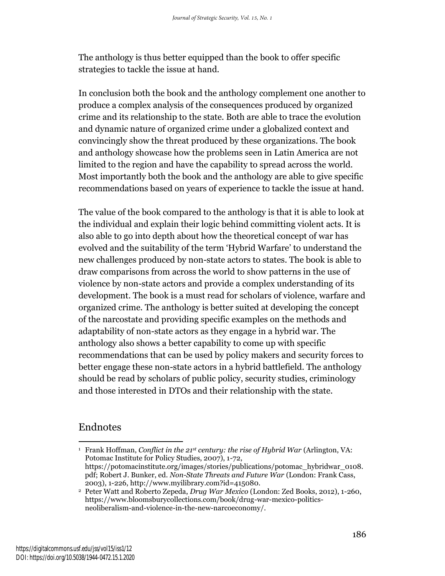The anthology is thus better equipped than the book to offer specific strategies to tackle the issue at hand.

In conclusion both the book and the anthology complement one another to produce a complex analysis of the consequences produced by organized crime and its relationship to the state. Both are able to trace the evolution and dynamic nature of organized crime under a globalized context and convincingly show the threat produced by these organizations. The book and anthology showcase how the problems seen in Latin America are not limited to the region and have the capability to spread across the world. Most importantly both the book and the anthology are able to give specific recommendations based on years of experience to tackle the issue at hand.

The value of the book compared to the anthology is that it is able to look at the individual and explain their logic behind committing violent acts. It is also able to go into depth about how the theoretical concept of war has evolved and the suitability of the term 'Hybrid Warfare' to understand the new challenges produced by non-state actors to states. The book is able to draw comparisons from across the world to show patterns in the use of violence by non-state actors and provide a complex understanding of its development. The book is a must read for scholars of violence, warfare and organized crime. The anthology is better suited at developing the concept of the narcostate and providing specific examples on the methods and adaptability of non-state actors as they engage in a hybrid war. The anthology also shows a better capability to come up with specific recommendations that can be used by policy makers and security forces to better engage these non-state actors in a hybrid battlefield. The anthology should be read by scholars of public policy, security studies, criminology and those interested in DTOs and their relationship with the state.

## Endnotes

<sup>1</sup> Frank Hoffman, *Conflict in the 21st century: the rise of Hybrid War* (Arlington, VA: Potomac Institute for Policy Studies, 2007), 1-72, https://potomacinstitute.org/images/stories/publications/potomac\_hybridwar\_0108. pdf; Robert J. Bunker, ed. *Non-State Threats and Future War* (London: Frank Cass, 2003), 1-226, http://www.myilibrary.com?id=415080.

<sup>2</sup> Peter Watt and Roberto Zepeda, *Drug War Mexico* (London: Zed Books, 2012), 1-260, https://www.bloomsburycollections.com/book/drug-war-mexico-politicsneoliberalism-and-violence-in-the-new-narcoeconomy/.